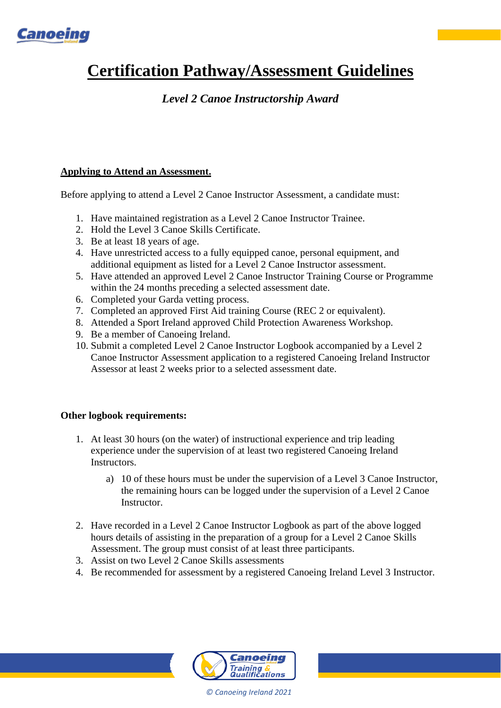

# **Certification Pathway/Assessment Guidelines**

# *Level 2 Canoe Instructorship Award*

# **Applying to Attend an Assessment.**

Before applying to attend a Level 2 Canoe Instructor Assessment, a candidate must:

- 1. Have maintained registration as a Level 2 Canoe Instructor Trainee.
- 2. Hold the Level 3 Canoe Skills Certificate.
- 3. Be at least 18 years of age.
- 4. Have unrestricted access to a fully equipped canoe, personal equipment, and additional equipment as listed for a Level 2 Canoe Instructor assessment.
- 5. Have attended an approved Level 2 Canoe Instructor Training Course or Programme within the 24 months preceding a selected assessment date.
- 6. Completed your [Garda vetting](https://www.google.com/url?q=http://canoe.ie/garda-vetting/&sa=D&source=editors&ust=1613651510984000&usg=AOvVaw2K-Xk3dYVp3T8aT4DyveMJ) process.
- 7. Completed an approved First Aid training Course (REC 2 or equivalent).
- 8. Attended a Sport Ireland approved Child Protection Awareness Workshop.
- 9. Be a member of Canoeing Ireland.
- 10. Submit a completed Level 2 Canoe Instructor Logbook accompanied by a Level 2 Canoe Instructor Assessment application to a registered Canoeing Ireland Instructor Assessor at least 2 weeks prior to a selected assessment date.

## **Other logbook requirements:**

- 1. At least 30 hours (on the water) of instructional experience and trip leading experience under the supervision of at least two registered Canoeing Ireland Instructors.
	- a) 10 of these hours must be under the supervision of a Level 3 Canoe Instructor, the remaining hours can be logged under the supervision of a Level 2 Canoe Instructor.
- 2. Have recorded in a Level 2 Canoe Instructor Logbook as part of the above logged hours details of assisting in the preparation of a group for a Level 2 Canoe Skills Assessment. The group must consist of at least three participants.
- 3. Assist on two Level 2 Canoe Skills assessments
- 4. Be recommended for assessment by a registered Canoeing Ireland Level 3 Instructor.



*© Canoeing Ireland 2021*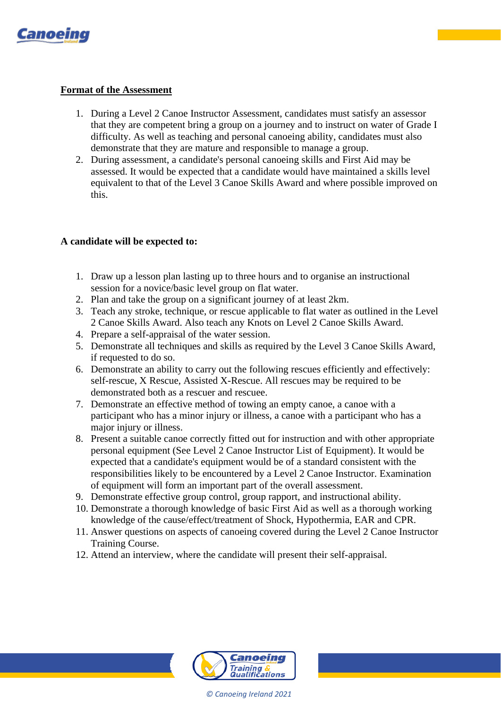

#### **Format of the Assessment**

- 1. During a Level 2 Canoe Instructor Assessment, candidates must satisfy an assessor that they are competent bring a group on a journey and to instruct on water of Grade I difficulty. As well as teaching and personal canoeing ability, candidates must also demonstrate that they are mature and responsible to manage a group.
- 2. During assessment, a candidate's personal canoeing skills and First Aid may be assessed. It would be expected that a candidate would have maintained a skills level equivalent to that of the Level 3 Canoe Skills Award and where possible improved on this.

### **A candidate will be expected to:**

- 1. Draw up a lesson plan lasting up to three hours and to organise an instructional session for a novice/basic level group on flat water.
- 2. Plan and take the group on a significant journey of at least 2km.
- 3. Teach any stroke, technique, or rescue applicable to flat water as outlined in the Level 2 Canoe Skills Award. Also teach any Knots on Level 2 Canoe Skills Award.
- 4. Prepare a self-appraisal of the water session.
- 5. Demonstrate all techniques and skills as required by the Level 3 Canoe Skills Award, if requested to do so.
- 6. Demonstrate an ability to carry out the following rescues efficiently and effectively: self-rescue, X Rescue, Assisted X-Rescue. All rescues may be required to be demonstrated both as a rescuer and rescuee.
- 7. Demonstrate an effective method of towing an empty canoe, a canoe with a participant who has a minor injury or illness, a canoe with a participant who has a major injury or illness.
- 8. Present a suitable canoe correctly fitted out for instruction and with other appropriate personal equipment (See Level 2 Canoe Instructor List of Equipment). It would be expected that a candidate's equipment would be of a standard consistent with the responsibilities likely to be encountered by a Level 2 Canoe Instructor. Examination of equipment will form an important part of the overall assessment.
- 9. Demonstrate effective group control, group rapport, and instructional ability.
- 10. Demonstrate a thorough knowledge of basic First Aid as well as a thorough working knowledge of the cause/effect/treatment of Shock, Hypothermia, EAR and CPR.
- 11. Answer questions on aspects of canoeing covered during the Level 2 Canoe Instructor Training Course.
- 12. Attend an interview, where the candidate will present their self-appraisal.



*© Canoeing Ireland 2021*